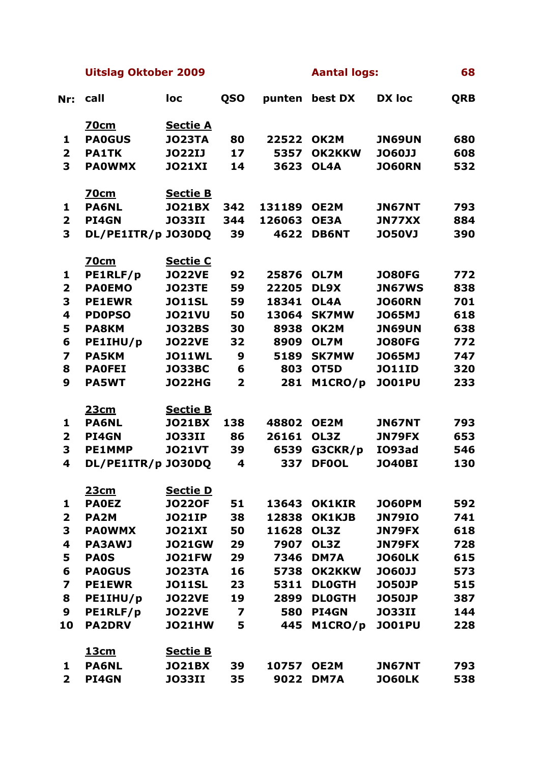**Uitslag Oktober 2009 Aantal logs: 68**

| Nr:                     | call               | loc             | QSO            | punten | best DX       | <b>DX</b> loc | <b>QRB</b> |
|-------------------------|--------------------|-----------------|----------------|--------|---------------|---------------|------------|
|                         | <b>70cm</b>        | <b>Sectie A</b> |                |        |               |               |            |
| 1                       | <b>PA0GUS</b>      | <b>JO23TA</b>   | 80             | 22522  | OK2M          | <b>JN69UN</b> | 680        |
| $\overline{\mathbf{2}}$ | <b>PA1TK</b>       | <b>JO22IJ</b>   | 17             | 5357   | <b>OK2KKW</b> | <b>JO60JJ</b> | 608        |
| 3                       | <b>PAOWMX</b>      | <b>JO21XI</b>   | 14             | 3623   | OL4A          | <b>JO60RN</b> | 532        |
|                         | <b>70cm</b>        | <b>Sectie B</b> |                |        |               |               |            |
| 1                       | <b>PA6NL</b>       | <b>JO21BX</b>   | 342            | 131189 | OE2M          | <b>JN67NT</b> | 793        |
| $\overline{\mathbf{2}}$ | PI4GN              | <b>JO33II</b>   | 344            | 126063 | <b>OE3A</b>   | <b>JN77XX</b> | 884        |
| 3                       | DL/PE1ITR/p JO30DQ |                 | 39             | 4622   | <b>DB6NT</b>  | <b>JO50VJ</b> | 390        |
|                         | <b>70cm</b>        | <b>Sectie C</b> |                |        |               |               |            |
| 1                       | PE1RLF/p           | <b>JO22VE</b>   | 92             | 25876  | OL7M          | <b>JO80FG</b> | 772        |
| $\overline{\mathbf{2}}$ | <b>PAOEMO</b>      | <b>JO23TE</b>   | 59             | 22205  | DL9X          | <b>JN67WS</b> | 838        |
| 3                       | <b>PE1EWR</b>      | <b>JO11SL</b>   | 59             | 18341  | OL4A          | <b>JO60RN</b> | 701        |
| 4                       | <b>PD0PSO</b>      | <b>JO21VU</b>   | 50             | 13064  | <b>SK7MW</b>  | <b>JO65MJ</b> | 618        |
| 5                       | <b>PA8KM</b>       | <b>JO32BS</b>   | 30             | 8938   | OK2M          | <b>JN69UN</b> | 638        |
| 6                       | PE1IHU/p           | <b>JO22VE</b>   | 32             | 8909   | OL7M          | <b>JO80FG</b> | 772        |
| $\overline{\mathbf{z}}$ | <b>PA5KM</b>       | <b>JO11WL</b>   | 9              | 5189   | <b>SK7MW</b>  | <b>JO65MJ</b> | 747        |
| 8                       | <b>PAOFEI</b>      | <b>JO33BC</b>   | 6              | 803    | OT5D          | <b>JO11ID</b> | 320        |
| 9                       | <b>PA5WT</b>       | <b>JO22HG</b>   | $\overline{2}$ | 281    | M1CRO/p       | <b>JO01PU</b> | 233        |
|                         | <u> 23cm</u>       | <b>Sectie B</b> |                |        |               |               |            |
| 1                       | <b>PA6NL</b>       | <b>JO21BX</b>   | 138            | 48802  | OE2M          | <b>JN67NT</b> | 793        |
| $\overline{\mathbf{2}}$ | <b>PI4GN</b>       | <b>JO33II</b>   | 86             | 26161  | OL3Z          | <b>JN79FX</b> | 653        |
| 3                       | <b>PE1MMP</b>      | <b>JO21VT</b>   | 39             | 6539   | G3CKR/p       | IO93ad        | 546        |
| 4                       | DL/PE1ITR/p JO30DQ |                 | 4              | 337    | <b>DF0OL</b>  | <b>JO40BI</b> | 130        |
|                         | <u> 23cm</u>       | <b>Sectie D</b> |                |        |               |               |            |
| 1                       | <b>PAOEZ</b>       | <b>JO22OF</b>   | 51             | 13643  | <b>OK1KIR</b> | JO60PM        | 592        |
| $\overline{\mathbf{2}}$ | PA <sub>2</sub> M  | <b>JO21IP</b>   | 38             | 12838  | OK1KJB        | <b>JN79IO</b> | 741        |
| 3                       | <b>PAOWMX</b>      | <b>JO21XI</b>   | 50             | 11628  | OL3Z          | <b>JN79FX</b> | 618        |
| 4                       | <b>PA3AWJ</b>      | <b>JO21GW</b>   | 29             | 7907   | OL3Z          | JN79FX        | 728        |
| 5                       | <b>PAOS</b>        | <b>JO21FW</b>   | 29             | 7346   | DM7A          | <b>JO60LK</b> | 615        |
| 6                       | <b>PA0GUS</b>      | <b>JO23TA</b>   | 16             | 5738   | <b>OK2KKW</b> | <b>JO60JJ</b> | 573        |
| $\overline{\mathbf{z}}$ | <b>PE1EWR</b>      | <b>JO11SL</b>   | 23             | 5311   | <b>DLOGTH</b> | <b>JO50JP</b> | 515        |
| 8                       | PE1IHU/p           | <b>JO22VE</b>   | 19             | 2899   | <b>DLOGTH</b> | <b>JO50JP</b> | 387        |
| 9                       | PE1RLF/p           | <b>JO22VE</b>   | 7              | 580    | PI4GN         | <b>JO33II</b> | 144        |
| 10                      | <b>PA2DRV</b>      | <b>JO21HW</b>   | 5              | 445    | M1CRO/p       | <b>JO01PU</b> | 228        |
|                         | <u> 13cm</u>       | <b>Sectie B</b> |                |        |               |               |            |
| 1                       | <b>PA6NL</b>       | <b>JO21BX</b>   | 39             | 10757  | OE2M          | <b>JN67NT</b> | 793        |
| $\overline{\mathbf{2}}$ | PI4GN              | <b>JO33II</b>   | 35             | 9022   | DM7A          | <b>JO60LK</b> | 538        |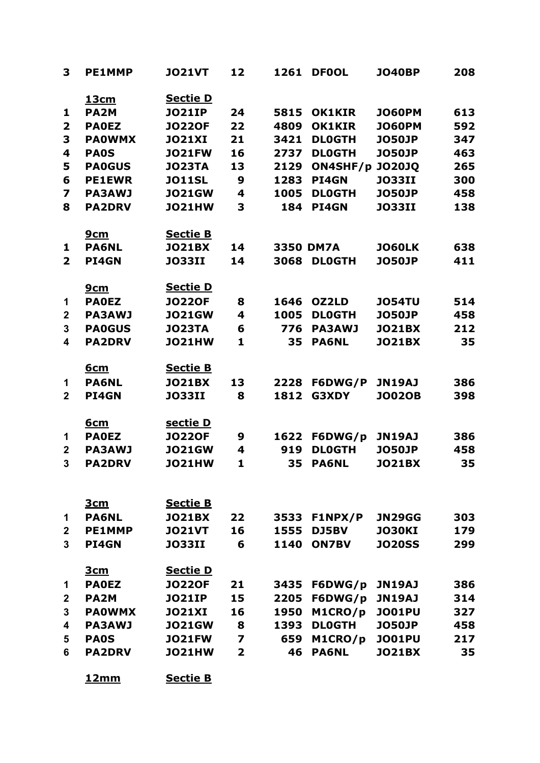| 3                       | <b>PE1MMP</b>     | <b>JO21VT</b>   | 12                      | 1261             | <b>DFOOL</b>  | <b>JO40BP</b> | 208 |
|-------------------------|-------------------|-----------------|-------------------------|------------------|---------------|---------------|-----|
|                         | 13cm              | <u>Sectie D</u> |                         |                  |               |               |     |
| 1                       | PA <sub>2M</sub>  | <b>JO21IP</b>   | 24                      | 5815             | <b>OK1KIR</b> | <b>JO60PM</b> | 613 |
| $\overline{2}$          | <b>PAOEZ</b>      | <b>JO220F</b>   | 22                      | 4809             | <b>OK1KIR</b> | <b>JO60PM</b> | 592 |
| 3                       | <b>PAOWMX</b>     | <b>JO21XI</b>   | 21                      | 3421             | <b>DLOGTH</b> | <b>JO50JP</b> | 347 |
| 4                       | <b>PAOS</b>       | <b>JO21FW</b>   | 16                      | 2737             | <b>DLOGTH</b> | <b>JO50JP</b> | 463 |
| 5                       | <b>PA0GUS</b>     | <b>JO23TA</b>   | 13                      | 2129             | ON4SHF/p      | <b>JO20JQ</b> | 265 |
| 6                       | <b>PE1EWR</b>     | <b>JO11SL</b>   | 9                       | 1283             | <b>PI4GN</b>  | <b>JO33II</b> | 300 |
| $\overline{\mathbf{z}}$ | <b>PA3AWJ</b>     | <b>JO21GW</b>   | 4                       | 1005             | <b>DLOGTH</b> | <b>JO50JP</b> | 458 |
| 8                       | <b>PA2DRV</b>     | <b>JO21HW</b>   | 3                       | 184              | <b>PI4GN</b>  | <b>JO33II</b> | 138 |
|                         | <u>9cm</u>        | <b>Sectie B</b> |                         |                  |               |               |     |
| 1                       | <b>PA6NL</b>      | <b>JO21BX</b>   | 14                      | <b>3350 DM7A</b> |               | <b>JO60LK</b> | 638 |
| $\overline{2}$          | <b>PI4GN</b>      | <b>JO33II</b>   | 14                      | 3068             | <b>DLOGTH</b> | <b>JO50JP</b> | 411 |
|                         | <u>9cm</u>        | <u>Sectie D</u> |                         |                  |               |               |     |
| 1                       | <b>PAOEZ</b>      | <b>JO220F</b>   | 8                       | 1646             | OZ2LD         | <b>JO54TU</b> | 514 |
| $\boldsymbol{2}$        | <b>PA3AWJ</b>     | <b>JO21GW</b>   | 4                       | 1005             | <b>DLOGTH</b> | <b>JO50JP</b> | 458 |
| 3                       | <b>PA0GUS</b>     | <b>JO23TA</b>   | 6                       | 776              | <b>PA3AWJ</b> | <b>JO21BX</b> | 212 |
| 4                       | <b>PA2DRV</b>     | <b>JO21HW</b>   | 1                       | 35               | <b>PA6NL</b>  | <b>JO21BX</b> | 35  |
|                         | <u>6cm</u>        | <b>Sectie B</b> |                         |                  |               |               |     |
| 1                       | <b>PA6NL</b>      | <b>JO21BX</b>   | 13                      | 2228             | F6DWG/P       | <b>JN19AJ</b> | 386 |
| $\mathbf{2}$            | <b>PI4GN</b>      | <b>JO33II</b>   | 8                       | 1812             | G3XDY         | <b>JO02OB</b> | 398 |
|                         | <u>6cm</u>        | <u>sectie D</u> |                         |                  |               |               |     |
| 1                       | <b>PAOEZ</b>      | <b>JO220F</b>   | 9                       | 1622             | F6DWG/p       | <b>JN19AJ</b> | 386 |
| $\overline{2}$          | <b>PA3AWJ</b>     | <b>JO21GW</b>   | 4                       | 919              | <b>DLOGTH</b> | <b>JO50JP</b> | 458 |
| 3                       | <b>PA2DRV</b>     | <b>JO21HW</b>   | 1                       | 35               | <b>PA6NL</b>  | <b>JO21BX</b> | 35  |
|                         | <u>3cm</u>        | <b>Sectie B</b> |                         |                  |               |               |     |
| 1                       | <b>PA6NL</b>      | <b>JO21BX</b>   | 22                      | 3533             | F1NPX/P       | <b>JN29GG</b> | 303 |
| $\mathbf{2}$            | <b>PE1MMP</b>     | <b>JO21VT</b>   | 16                      | 1555             | DJ5BV         | <b>JO30KI</b> | 179 |
| 3                       | <b>PI4GN</b>      | <b>JO33II</b>   | 6                       | 1140             | <b>ON7BV</b>  | <b>JO20SS</b> | 299 |
|                         | <u>3cm</u>        | <b>Sectie D</b> |                         |                  |               |               |     |
| 1                       | <b>PAOEZ</b>      | <b>JO220F</b>   | 21                      | 3435             | F6DWG/p       | <b>JN19AJ</b> | 386 |
| $\mathbf{2}$            | PA <sub>2</sub> M | <b>JO21IP</b>   | 15                      | 2205             | F6DWG/p       | <b>JN19AJ</b> | 314 |
| 3                       | <b>PAOWMX</b>     | <b>JO21XI</b>   | 16                      | 1950             | M1CRO/p       | <b>JO01PU</b> | 327 |
| 4                       | <b>PA3AWJ</b>     | <b>JO21GW</b>   | 8                       | 1393             | <b>DLOGTH</b> | <b>JO50JP</b> | 458 |
| 5                       | <b>PAOS</b>       | <b>JO21FW</b>   | 7                       | 659              | M1CRO/p       | <b>JO01PU</b> | 217 |
| 6                       | <b>PA2DRV</b>     | <b>JO21HW</b>   | $\overline{\mathbf{2}}$ | 46               | <b>PA6NL</b>  | <b>JO21BX</b> | 35  |
|                         | <u>12mm</u>       | <b>Sectie B</b> |                         |                  |               |               |     |